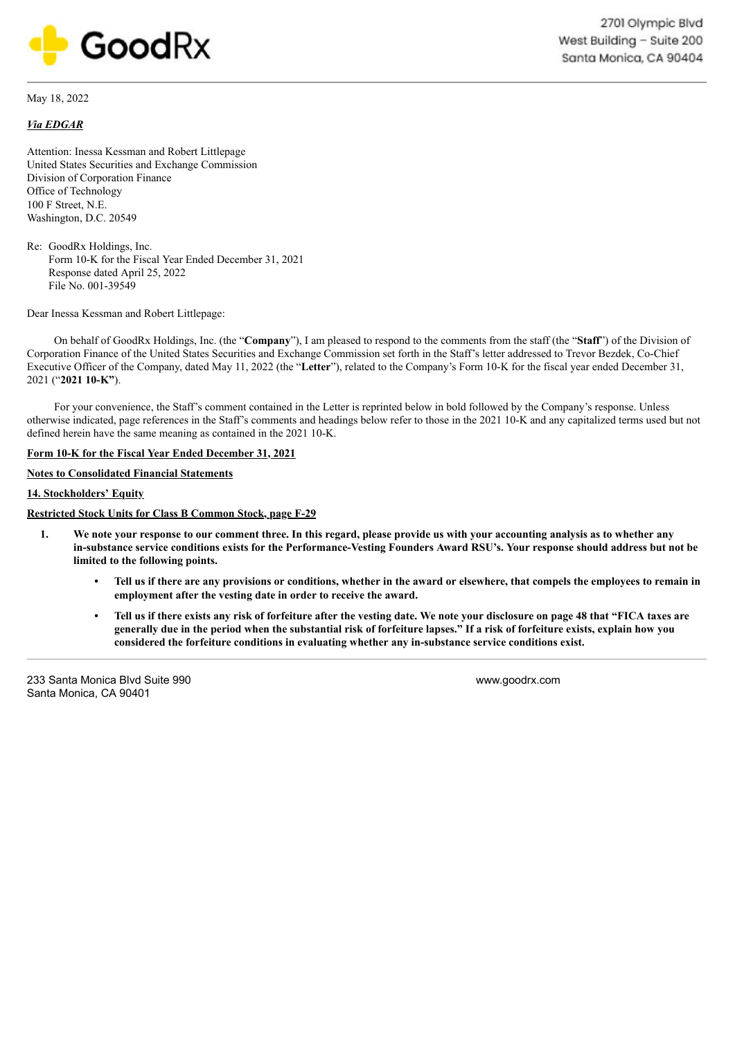

May 18, 2022

## *Via EDGAR*

Attention: Inessa Kessman and Robert Littlepage United States Securities and Exchange Commission Division of Corporation Finance Office of Technology 100 F Street, N.E. Washington, D.C. 20549

Re: GoodRx Holdings, Inc. Form 10-K for the Fiscal Year Ended December 31, 2021 Response dated April 25, 2022 File No. 001-39549

Dear Inessa Kessman and Robert Littlepage:

On behalf of GoodRx Holdings, Inc. (the "**Company**"), I am pleased to respond to the comments from the staff (the "**Staff**") of the Division of Corporation Finance of the United States Securities and Exchange Commission set forth in the Staff's letter addressed to Trevor Bezdek, Co-Chief Executive Officer of the Company, dated May 11, 2022 (the "**Letter**"), related to the Company's Form 10-K for the fiscal year ended December 31, 2021 ("**2021 10-K"**).

For your convenience, the Staff's comment contained in the Letter is reprinted below in bold followed by the Company's response. Unless otherwise indicated, page references in the Staff's comments and headings below refer to those in the 2021 10-K and any capitalized terms used but not defined herein have the same meaning as contained in the 2021 10-K.

## **Form 10-K for the Fiscal Year Ended December 31, 2021**

## **Notes to Consolidated Financial Statements**

## **14. Stockholders' Equity**

**Restricted Stock Units for Class B Common Stock, page F-29**

- 1. We note your response to our comment three. In this regard, please provide us with your accounting analysis as to whether any in-substance service conditions exists for the Performance-Vesting Founders Award RSU's. Your response should address but not be **limited to the following points.**
	- Tell us if there are any provisions or conditions, whether in the award or elsewhere, that compels the employees to remain in **employment after the vesting date in order to receive the award.**
	- Tell us if there exists any risk of forfeiture after the vesting date. We note your disclosure on page 48 that "FICA taxes are generally due in the period when the substantial risk of forfeiture lapses." If a risk of forfeiture exists, explain how you **considered the forfeiture conditions in evaluating whether any in-substance service conditions exist.**

233 Santa Monica Blvd Suite 990 Santa Monica, CA 90401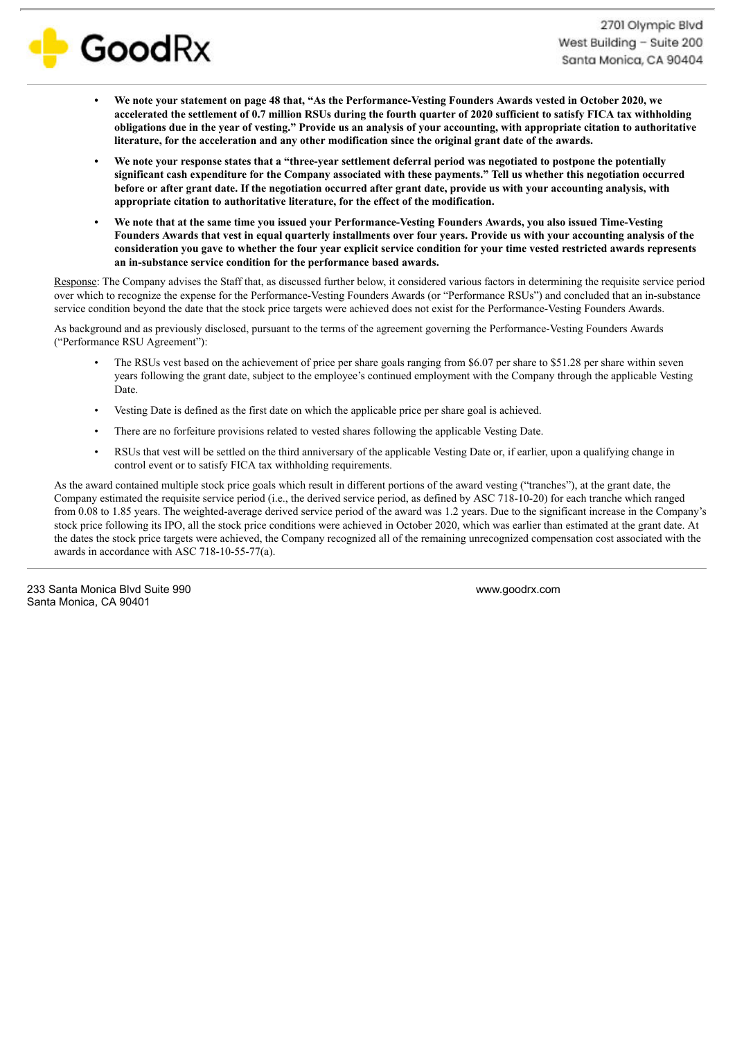

- We note your statement on page 48 that, "As the Performance-Vesting Founders Awards vested in October 2020, we accelerated the settlement of 0.7 million RSUs during the fourth quarter of 2020 sufficient to satisfy FICA tax withholding obligations due in the year of vesting." Provide us an analysis of your accounting, with appropriate citation to authoritative **literature, for the acceleration and any other modification since the original grant date of the awards.**
- We note your response states that a "three-year settlement deferral period was negotiated to postpone the potentially significant cash expenditure for the Company associated with these payments." Tell us whether this negotiation occurred before or after grant date. If the negotiation occurred after grant date, provide us with your accounting analysis, with **appropriate citation to authoritative literature, for the effect of the modification.**
- We note that at the same time you issued your Performance-Vesting Founders Awards, you also issued Time-Vesting Founders Awards that vest in equal quarterly installments over four years. Provide us with your accounting analysis of the consideration you gave to whether the four year explicit service condition for your time vested restricted awards represents **an in-substance service condition for the performance based awards.**

Response: The Company advises the Staff that, as discussed further below, it considered various factors in determining the requisite service period over which to recognize the expense for the Performance-Vesting Founders Awards (or "Performance RSUs") and concluded that an in-substance service condition beyond the date that the stock price targets were achieved does not exist for the Performance-Vesting Founders Awards.

As background and as previously disclosed, pursuant to the terms of the agreement governing the Performance-Vesting Founders Awards ("Performance RSU Agreement"):

- The RSUs vest based on the achievement of price per share goals ranging from \$6.07 per share to \$51.28 per share within seven years following the grant date, subject to the employee's continued employment with the Company through the applicable Vesting Date.
- Vesting Date is defined as the first date on which the applicable price per share goal is achieved.
- There are no forfeiture provisions related to vested shares following the applicable Vesting Date.
- RSUs that vest will be settled on the third anniversary of the applicable Vesting Date or, if earlier, upon a qualifying change in control event or to satisfy FICA tax withholding requirements.

As the award contained multiple stock price goals which result in different portions of the award vesting ("tranches"), at the grant date, the Company estimated the requisite service period (i.e., the derived service period, as defined by ASC 718-10-20) for each tranche which ranged from 0.08 to 1.85 years. The weighted-average derived service period of the award was 1.2 years. Due to the significant increase in the Company's stock price following its IPO, all the stock price conditions were achieved in October 2020, which was earlier than estimated at the grant date. At the dates the stock price targets were achieved, the Company recognized all of the remaining unrecognized compensation cost associated with the awards in accordance with ASC 718-10-55-77(a).

233 Santa Monica Blvd Suite 990 Santa Monica, CA 90401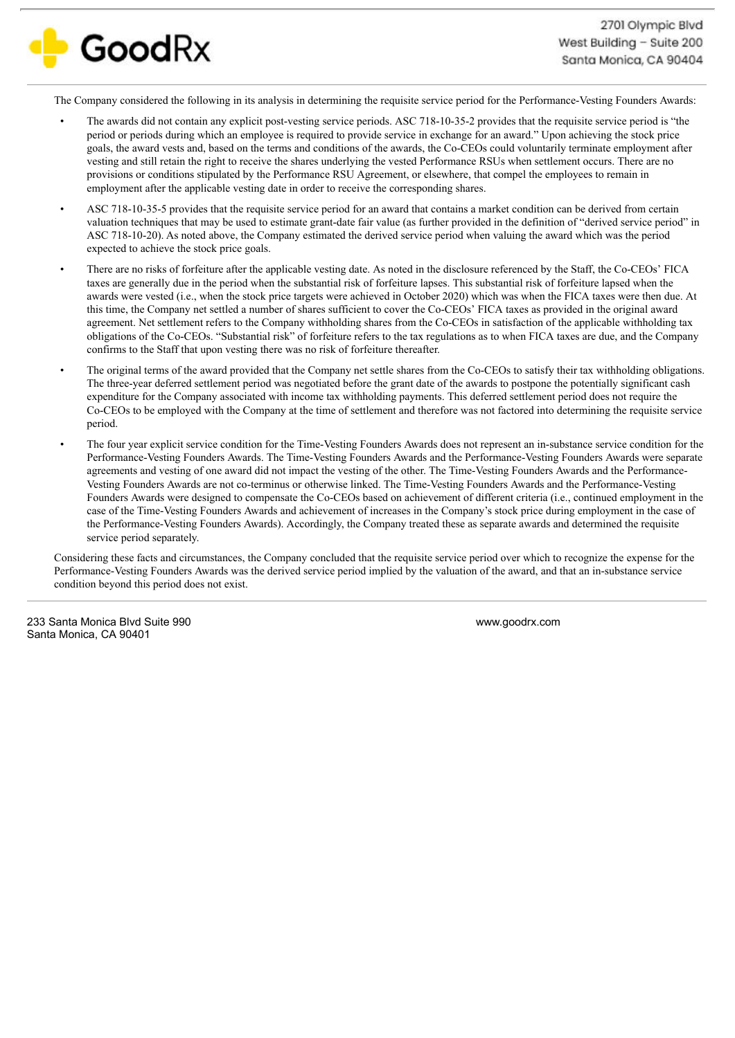

The Company considered the following in its analysis in determining the requisite service period for the Performance-Vesting Founders Awards:

- The awards did not contain any explicit post-vesting service periods. ASC 718-10-35-2 provides that the requisite service period is "the period or periods during which an employee is required to provide service in exchange for an award." Upon achieving the stock price goals, the award vests and, based on the terms and conditions of the awards, the Co-CEOs could voluntarily terminate employment after vesting and still retain the right to receive the shares underlying the vested Performance RSUs when settlement occurs. There are no provisions or conditions stipulated by the Performance RSU Agreement, or elsewhere, that compel the employees to remain in employment after the applicable vesting date in order to receive the corresponding shares.
- ASC 718-10-35-5 provides that the requisite service period for an award that contains a market condition can be derived from certain valuation techniques that may be used to estimate grant-date fair value (as further provided in the definition of "derived service period" in ASC 718-10-20). As noted above, the Company estimated the derived service period when valuing the award which was the period expected to achieve the stock price goals.
- There are no risks of forfeiture after the applicable vesting date. As noted in the disclosure referenced by the Staff, the Co-CEOs' FICA taxes are generally due in the period when the substantial risk of forfeiture lapses. This substantial risk of forfeiture lapsed when the awards were vested (i.e., when the stock price targets were achieved in October 2020) which was when the FICA taxes were then due. At this time, the Company net settled a number of shares sufficient to cover the Co-CEOs' FICA taxes as provided in the original award agreement. Net settlement refers to the Company withholding shares from the Co-CEOs in satisfaction of the applicable withholding tax obligations of the Co-CEOs. "Substantial risk" of forfeiture refers to the tax regulations as to when FICA taxes are due, and the Company confirms to the Staff that upon vesting there was no risk of forfeiture thereafter.
- The original terms of the award provided that the Company net settle shares from the Co-CEOs to satisfy their tax withholding obligations. The three-year deferred settlement period was negotiated before the grant date of the awards to postpone the potentially significant cash expenditure for the Company associated with income tax withholding payments. This deferred settlement period does not require the Co-CEOs to be employed with the Company at the time of settlement and therefore was not factored into determining the requisite service period.
- The four year explicit service condition for the Time-Vesting Founders Awards does not represent an in-substance service condition for the Performance-Vesting Founders Awards. The Time-Vesting Founders Awards and the Performance-Vesting Founders Awards were separate agreements and vesting of one award did not impact the vesting of the other. The Time-Vesting Founders Awards and the Performance-Vesting Founders Awards are not co-terminus or otherwise linked. The Time-Vesting Founders Awards and the Performance-Vesting Founders Awards were designed to compensate the Co-CEOs based on achievement of different criteria (i.e., continued employment in the case of the Time-Vesting Founders Awards and achievement of increases in the Company's stock price during employment in the case of the Performance-Vesting Founders Awards). Accordingly, the Company treated these as separate awards and determined the requisite service period separately.

Considering these facts and circumstances, the Company concluded that the requisite service period over which to recognize the expense for the Performance-Vesting Founders Awards was the derived service period implied by the valuation of the award, and that an in-substance service condition beyond this period does not exist.

233 Santa Monica Blvd Suite 990 Santa Monica, CA 90401